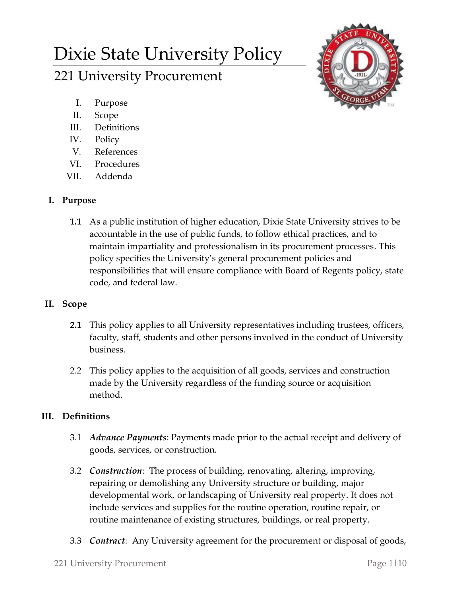# Dixie State University Policy 221 University Procurement



- I. Purpose
- II. Scope
- III. Definitions
- IV. Policy
- V. References
- VI. Procedures
- VII. Addenda

# **I. Purpose**

**1.1** As a public institution of higher education, Dixie State University strives to be accountable in the use of public funds, to follow ethical practices, and to maintain impartiality and professionalism in its procurement processes. This policy specifies the University's general procurement policies and responsibilities that will ensure compliance with Board of Regents policy, state code, and federal law.

# **II. Scope**

- **2.1** This policy applies to all University representatives including trustees, officers, faculty, staff, students and other persons involved in the conduct of University business.
- 2.2 This policy applies to the acquisition of all goods, services and construction made by the University regardless of the funding source or acquisition method.

# **III. Definitions**

- 3.1 *Advance Payments*: Payments made prior to the actual receipt and delivery of goods, services, or construction.
- 3.2 *Construction*: The process of building, renovating, altering, improving, repairing or demolishing any University structure or building, major developmental work, or landscaping of University real property. It does not include services and supplies for the routine operation, routine repair, or routine maintenance of existing structures, buildings, or real property.
- 3.3 *Contract*: Any University agreement for the procurement or disposal of goods,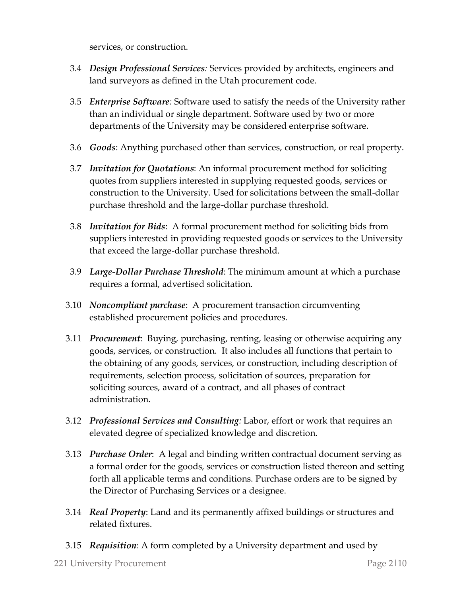services, or construction.

- 3.4 *Design Professional Services:* Services provided by architects, engineers and land surveyors as defined in the Utah procurement code.
- 3.5 *Enterprise Software:* Software used to satisfy the needs of the University rather than an individual or single department. Software used by two or more departments of the University may be considered enterprise software.
- 3.6 *Goods*: Anything purchased other than services, construction, or real property.
- 3.7 *Invitation for Quotations*: An informal procurement method for soliciting quotes from suppliers interested in supplying requested goods, services or construction to the University. Used for solicitations between the small-dollar purchase threshold and the large-dollar purchase threshold.
- 3.8 *Invitation for Bids*: A formal procurement method for soliciting bids from suppliers interested in providing requested goods or services to the University that exceed the large-dollar purchase threshold.
- 3.9 *Large-Dollar Purchase Threshold*: The minimum amount at which a purchase requires a formal, advertised solicitation.
- 3.10 *Noncompliant purchase*: A procurement transaction circumventing established procurement policies and procedures.
- 3.11 *Procurement*: Buying, purchasing, renting, leasing or otherwise acquiring any goods, services, or construction. It also includes all functions that pertain to the obtaining of any goods, services, or construction, including description of requirements, selection process, solicitation of sources, preparation for soliciting sources, award of a contract, and all phases of contract administration.
- 3.12 *Professional Services and Consulting:* Labor, effort or work that requires an elevated degree of specialized knowledge and discretion.
- 3.13 *Purchase Order*: A legal and binding written contractual document serving as a formal order for the goods, services or construction listed thereon and setting forth all applicable terms and conditions. Purchase orders are to be signed by the Director of Purchasing Services or a designee.
- 3.14 *Real Property*: Land and its permanently affixed buildings or structures and related fixtures.
- 3.15 *Requisition*: A form completed by a University department and used by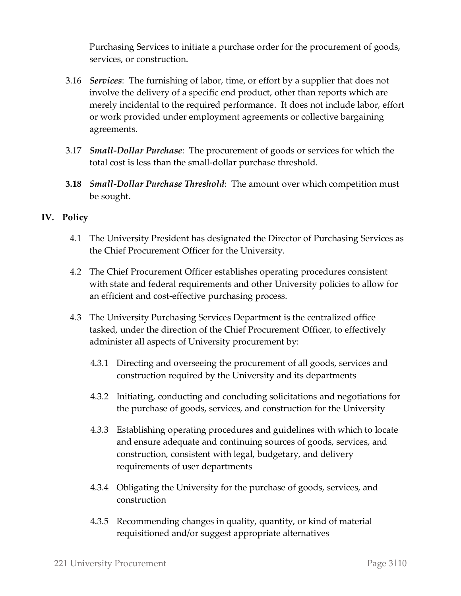Purchasing Services to initiate a purchase order for the procurement of goods, services, or construction.

- 3.16 *Services*: The furnishing of labor, time, or effort by a supplier that does not involve the delivery of a specific end product, other than reports which are merely incidental to the required performance. It does not include labor, effort or work provided under employment agreements or collective bargaining agreements.
- 3.17 *Small-Dollar Purchase*: The procurement of goods or services for which the total cost is less than the small-dollar purchase threshold.
- **3.18** *Small-Dollar Purchase Threshold*: The amount over which competition must be sought.

## **IV. Policy**

- 4.1 The University President has designated the Director of Purchasing Services as the Chief Procurement Officer for the University.
- 4.2 The Chief Procurement Officer establishes operating procedures consistent with state and federal requirements and other University policies to allow for an efficient and cost-effective purchasing process.
- 4.3 The University Purchasing Services Department is the centralized office tasked, under the direction of the Chief Procurement Officer, to effectively administer all aspects of University procurement by:
	- 4.3.1 Directing and overseeing the procurement of all goods, services and construction required by the University and its departments
	- 4.3.2 Initiating, conducting and concluding solicitations and negotiations for the purchase of goods, services, and construction for the University
	- 4.3.3 Establishing operating procedures and guidelines with which to locate and ensure adequate and continuing sources of goods, services, and construction, consistent with legal, budgetary, and delivery requirements of user departments
	- 4.3.4 Obligating the University for the purchase of goods, services, and construction
	- 4.3.5 Recommending changes in quality, quantity, or kind of material requisitioned and/or suggest appropriate alternatives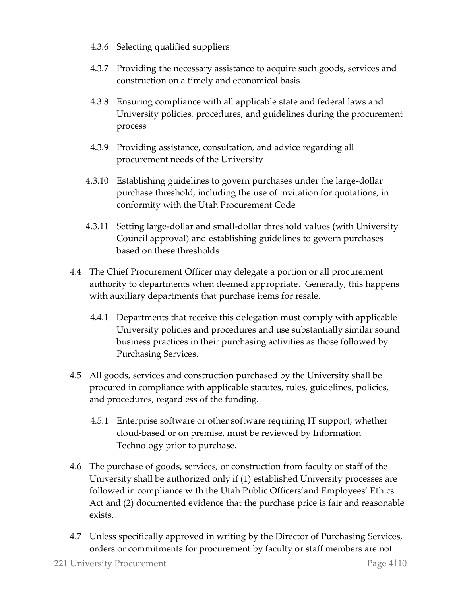- 4.3.6 Selecting qualified suppliers
- 4.3.7 Providing the necessary assistance to acquire such goods, services and construction on a timely and economical basis
- 4.3.8 Ensuring compliance with all applicable state and federal laws and University policies, procedures, and guidelines during the procurement process
- 4.3.9 Providing assistance, consultation, and advice regarding all procurement needs of the University
- 4.3.10 Establishing guidelines to govern purchases under the large-dollar purchase threshold, including the use of invitation for quotations, in conformity with the Utah Procurement Code
- 4.3.11 Setting large-dollar and small-dollar threshold values (with University Council approval) and establishing guidelines to govern purchases based on these thresholds
- 4.4 The Chief Procurement Officer may delegate a portion or all procurement authority to departments when deemed appropriate. Generally, this happens with auxiliary departments that purchase items for resale.
	- 4.4.1 Departments that receive this delegation must comply with applicable University policies and procedures and use substantially similar sound business practices in their purchasing activities as those followed by Purchasing Services.
- 4.5 All goods, services and construction purchased by the University shall be procured in compliance with applicable statutes, rules, guidelines, policies, and procedures, regardless of the funding.
	- 4.5.1 Enterprise software or other software requiring IT support, whether cloud-based or on premise, must be reviewed by Information Technology prior to purchase.
- 4.6 The purchase of goods, services, or construction from faculty or staff of the University shall be authorized only if (1) established University processes are followed in compliance with the Utah Public Officers'and Employees' Ethics Act and (2) documented evidence that the purchase price is fair and reasonable exists.
- 4.7 Unless specifically approved in writing by the Director of Purchasing Services, orders or commitments for procurement by faculty or staff members are not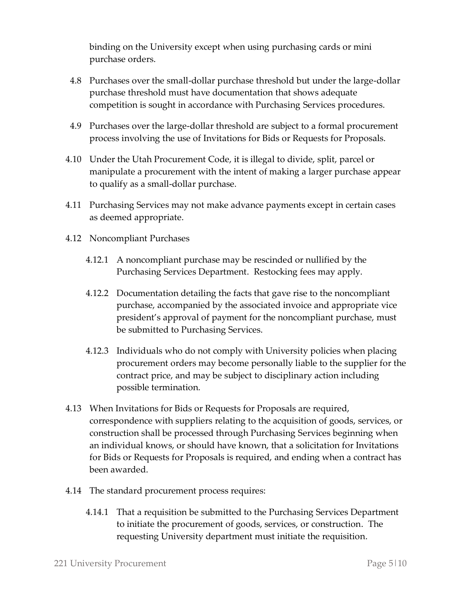binding on the University except when using purchasing cards or mini purchase orders.

- 4.8 Purchases over the small-dollar purchase threshold but under the large-dollar purchase threshold must have documentation that shows adequate competition is sought in accordance with Purchasing Services procedures.
- 4.9 Purchases over the large-dollar threshold are subject to a formal procurement process involving the use of Invitations for Bids or Requests for Proposals.
- 4.10 Under the Utah Procurement Code, it is illegal to divide, split, parcel or manipulate a procurement with the intent of making a larger purchase appear to qualify as a small-dollar purchase.
- 4.11 Purchasing Services may not make advance payments except in certain cases as deemed appropriate.
- 4.12 Noncompliant Purchases
	- 4.12.1 A noncompliant purchase may be rescinded or nullified by the Purchasing Services Department. Restocking fees may apply.
	- 4.12.2 Documentation detailing the facts that gave rise to the noncompliant purchase, accompanied by the associated invoice and appropriate vice president's approval of payment for the noncompliant purchase, must be submitted to Purchasing Services.
	- 4.12.3 Individuals who do not comply with University policies when placing procurement orders may become personally liable to the supplier for the contract price, and may be subject to disciplinary action including possible termination.
- 4.13 When Invitations for Bids or Requests for Proposals are required, correspondence with suppliers relating to the acquisition of goods, services, or construction shall be processed through Purchasing Services beginning when an individual knows, or should have known, that a solicitation for Invitations for Bids or Requests for Proposals is required, and ending when a contract has been awarded.
- 4.14 The standard procurement process requires:
	- 4.14.1 That a requisition be submitted to the Purchasing Services Department to initiate the procurement of goods, services, or construction. The requesting University department must initiate the requisition.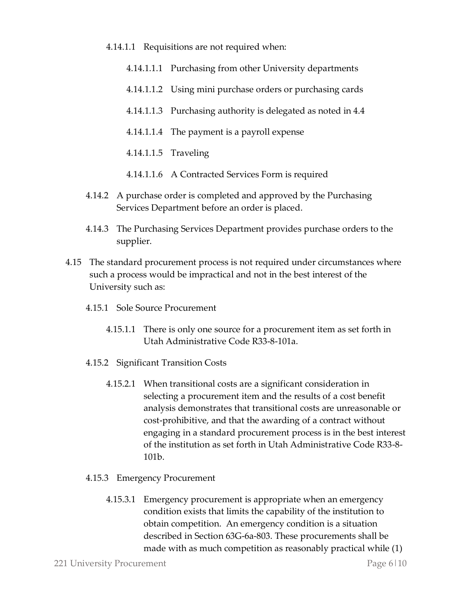- 4.14.1.1 Requisitions are not required when:
	- 4.14.1.1.1 Purchasing from other University departments
	- 4.14.1.1.2 Using mini purchase orders or purchasing cards
	- 4.14.1.1.3 Purchasing authority is delegated as noted in 4.4
	- 4.14.1.1.4 The payment is a payroll expense
	- 4.14.1.1.5 Traveling
	- 4.14.1.1.6 A Contracted Services Form is required
- 4.14.2 A purchase order is completed and approved by the Purchasing Services Department before an order is placed.
- 4.14.3 The Purchasing Services Department provides purchase orders to the supplier.
- 4.15 The standard procurement process is not required under circumstances where such a process would be impractical and not in the best interest of the University such as:
	- 4.15.1 Sole Source Procurement
		- 4.15.1.1 There is only one source for a procurement item as set forth in Utah Administrative Code R33-8-101a.
	- 4.15.2 Significant Transition Costs
		- 4.15.2.1 When transitional costs are a significant consideration in selecting a procurement item and the results of a cost benefit analysis demonstrates that transitional costs are unreasonable or cost-prohibitive, and that the awarding of a contract without engaging in a standard procurement process is in the best interest of the institution as set forth in Utah Administrative Code R33-8- 101b.
	- 4.15.3 Emergency Procurement
		- 4.15.3.1 Emergency procurement is appropriate when an emergency condition exists that limits the capability of the institution to obtain competition. An emergency condition is a situation described in Section 63G-6a-803. These procurements shall be made with as much competition as reasonably practical while (1)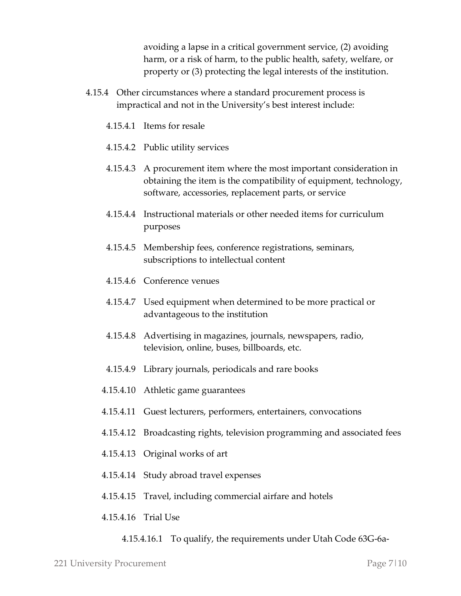avoiding a lapse in a critical government service, (2) avoiding harm, or a risk of harm, to the public health, safety, welfare, or property or (3) protecting the legal interests of the institution.

- 4.15.4 Other circumstances where a standard procurement process is impractical and not in the University's best interest include:
	- 4.15.4.1 Items for resale
	- 4.15.4.2 Public utility services
	- 4.15.4.3 A procurement item where the most important consideration in obtaining the item is the compatibility of equipment, technology, software, accessories, replacement parts, or service
	- 4.15.4.4 Instructional materials or other needed items for curriculum purposes
	- 4.15.4.5 Membership fees, conference registrations, seminars, subscriptions to intellectual content
	- 4.15.4.6 Conference venues
	- 4.15.4.7 Used equipment when determined to be more practical or advantageous to the institution
	- 4.15.4.8 Advertising in magazines, journals, newspapers, radio, television, online, buses, billboards, etc.
	- 4.15.4.9 Library journals, periodicals and rare books
	- 4.15.4.10 Athletic game guarantees
	- 4.15.4.11 Guest lecturers, performers, entertainers, convocations
	- 4.15.4.12 Broadcasting rights, television programming and associated fees
	- 4.15.4.13 Original works of art
	- 4.15.4.14 Study abroad travel expenses
	- 4.15.4.15 Travel, including commercial airfare and hotels
	- 4.15.4.16 Trial Use
		- 4.15.4.16.1 To qualify, the requirements under Utah Code 63G-6a-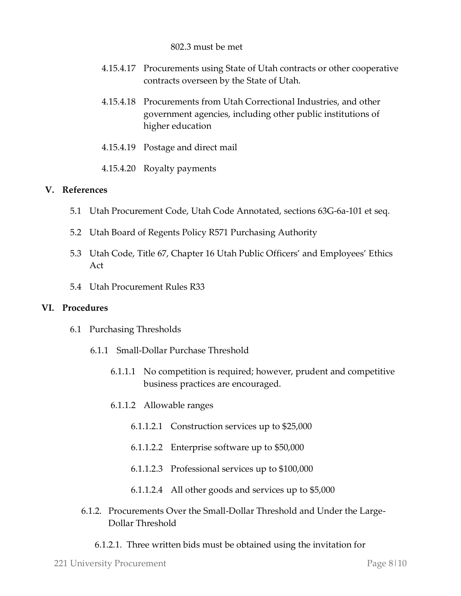802.3 must be met

- 4.15.4.17 Procurements using State of Utah contracts or other cooperative contracts overseen by the State of Utah.
- 4.15.4.18 Procurements from Utah Correctional Industries, and other government agencies, including other public institutions of higher education
- 4.15.4.19 Postage and direct mail
- 4.15.4.20 Royalty payments

## **V. References**

- 5.1 Utah Procurement Code, Utah Code Annotated, sections 63G-6a-101 et seq.
- 5.2 Utah Board of Regents Policy R571 Purchasing Authority
- 5.3 Utah Code, Title 67, Chapter 16 Utah Public Officers' and Employees' Ethics Act
- 5.4 Utah Procurement Rules R33

## **VI. Procedures**

- 6.1 Purchasing Thresholds
	- 6.1.1 Small-Dollar Purchase Threshold
		- 6.1.1.1 No competition is required; however, prudent and competitive business practices are encouraged.
		- 6.1.1.2 Allowable ranges
			- 6.1.1.2.1 Construction services up to \$25,000
			- 6.1.1.2.2 Enterprise software up to \$50,000
			- 6.1.1.2.3 Professional services up to \$100,000
			- 6.1.1.2.4 All other goods and services up to \$5,000
	- 6.1.2. Procurements Over the Small-Dollar Threshold and Under the Large-Dollar Threshold
		- 6.1.2.1. Three written bids must be obtained using the invitation for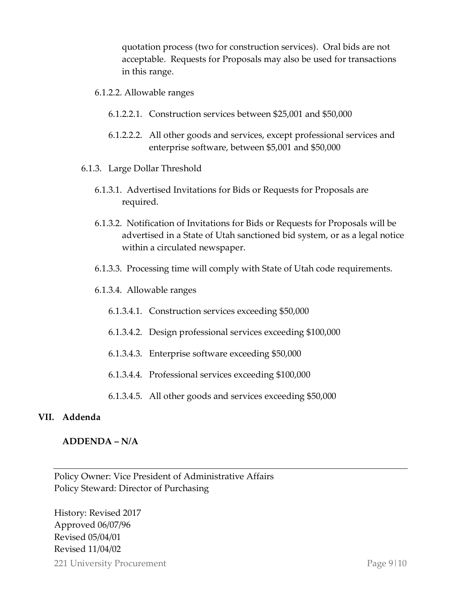quotation process (two for construction services). Oral bids are not acceptable. Requests for Proposals may also be used for transactions in this range.

- 6.1.2.2. Allowable ranges
	- 6.1.2.2.1. Construction services between \$25,001 and \$50,000
	- 6.1.2.2.2. All other goods and services, except professional services and enterprise software, between \$5,001 and \$50,000
- 6.1.3. Large Dollar Threshold
	- 6.1.3.1. Advertised Invitations for Bids or Requests for Proposals are required.
	- 6.1.3.2. Notification of Invitations for Bids or Requests for Proposals will be advertised in a State of Utah sanctioned bid system, or as a legal notice within a circulated newspaper.
	- 6.1.3.3. Processing time will comply with State of Utah code requirements.
	- 6.1.3.4. Allowable ranges
		- 6.1.3.4.1. Construction services exceeding \$50,000
		- 6.1.3.4.2. Design professional services exceeding \$100,000
		- 6.1.3.4.3. Enterprise software exceeding \$50,000
		- 6.1.3.4.4. Professional services exceeding \$100,000
		- 6.1.3.4.5. All other goods and services exceeding \$50,000

## **VII. Addenda**

## **ADDENDA – N/A**

Policy Owner: Vice President of Administrative Affairs Policy Steward: Director of Purchasing

221 University Procurement Page 9|10 History: Revised 2017 Approved 06/07/96 Revised 05/04/01 Revised 11/04/02